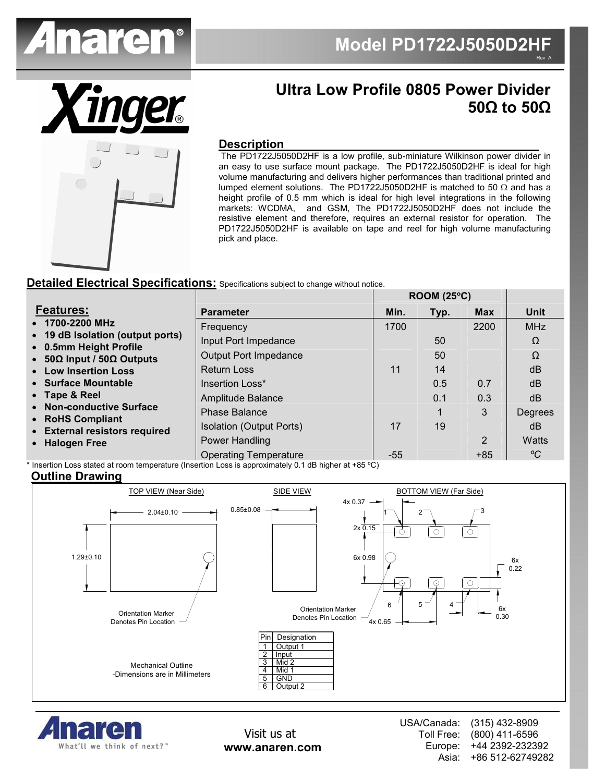

**ROOM (25**°**C)** 



# **Ultra Low Profile 0805 Power Divider 50Ω to 50Ω**

### **Description**

 The PD1722J5050D2HF is a low profile, sub-miniature Wilkinson power divider in an easy to use surface mount package. The PD1722J5050D2HF is ideal for high volume manufacturing and delivers higher performances than traditional printed and lumped element solutions. The PD1722J5050D2HF is matched to 50 Ω and has a height profile of 0.5 mm which is ideal for high level integrations in the following markets: WCDMA, and GSM, The PD1722J5050D2HF does not include the resistive element and therefore, requires an external resistor for operation. The PD1722J5050D2HF is available on tape and reel for high volume manufacturing pick and place.

### **Detailed Electrical Specifications:** Specifications subject to change without notice.

|                                                                                                                          |                              | NUUMI (20 U) |      |            |             |
|--------------------------------------------------------------------------------------------------------------------------|------------------------------|--------------|------|------------|-------------|
| <b>Features:</b>                                                                                                         | <b>Parameter</b>             | Min.         | Typ. | <b>Max</b> | <b>Unit</b> |
| • 1700-2200 MHz<br>• 19 dB Isolation (output ports)<br>• 0.5mm Height Profile<br>• $50\Omega$ Input / $50\Omega$ Outputs | Frequency                    | 1700         |      | 2200       | <b>MHz</b>  |
|                                                                                                                          | Input Port Impedance         |              | 50   |            | Ω           |
|                                                                                                                          | <b>Output Port Impedance</b> |              | 50   |            | Ω           |
| • Low Insertion Loss                                                                                                     | <b>Return Loss</b>           | 11           | 14   |            | dB          |
| • Surface Mountable                                                                                                      | Insertion Loss*              |              | 0.5  | 0.7        | dB          |
| • Tape & Reel<br>• Non-conductive Surface<br>• RoHS Compliant<br>• External resistors required<br>• Halogen Free         | Amplitude Balance            |              | 0.1  | 0.3        | dB          |
|                                                                                                                          | <b>Phase Balance</b>         |              |      | 3          | Degrees     |
|                                                                                                                          | Isolation (Output Ports)     | 17           | 19   |            | dB          |
|                                                                                                                          | Power Handling               |              |      | 2          | Watts       |
|                                                                                                                          | <b>Operating Temperature</b> | $-55$        |      | $+85$      | °C          |

Insertion Loss stated at room temperature (Insertion Loss is approximately 0.1 dB higher at +85 °C)

### **Outline Drawing**





Visit us at **www.anaren.com** USA/Canada: Toll Free: Europe: Asia: (315) 432-8909 (800) 411-6596 +44 2392-232392 +86 512-62749282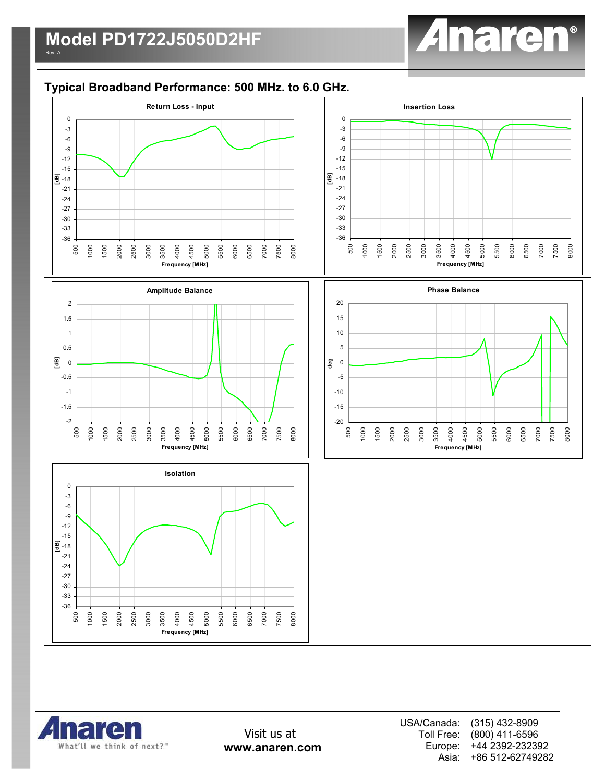

# **Typical Broadband Performance: 500 MHz. to 6.0 GHz.**





Visit us at **www.anaren.com** USA/Canada: Toll Free: Europe: Asia: (315) 432-8909 (800) 411-6596 +44 2392-232392 +86 512-62749282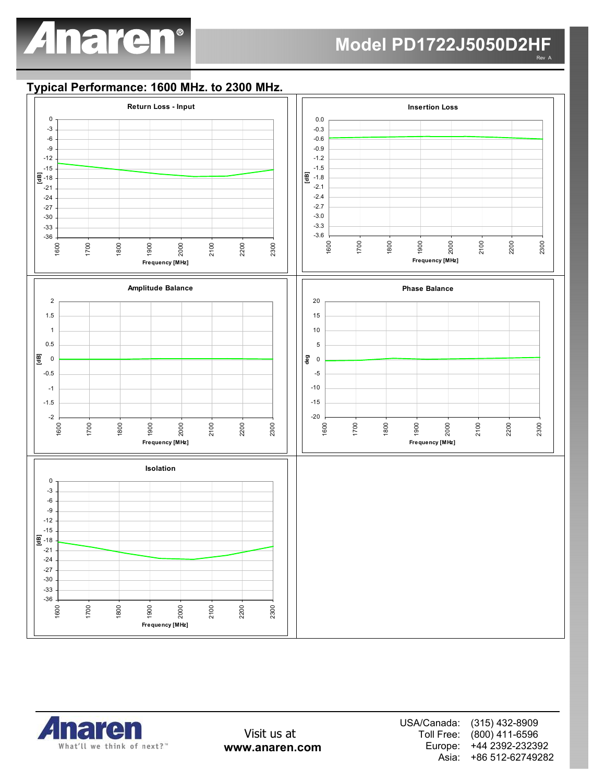## **Model PD1722J5050D2HF** Rev A

# **Typical Performance: 1600 MHz. to 2300 MHz.**





Visit us at **www.anaren.com** USA/Canada: Toll Free: Europe: Asia: (315) 432-8909 (800) 411-6596 +44 2392-232392 +86 512-62749282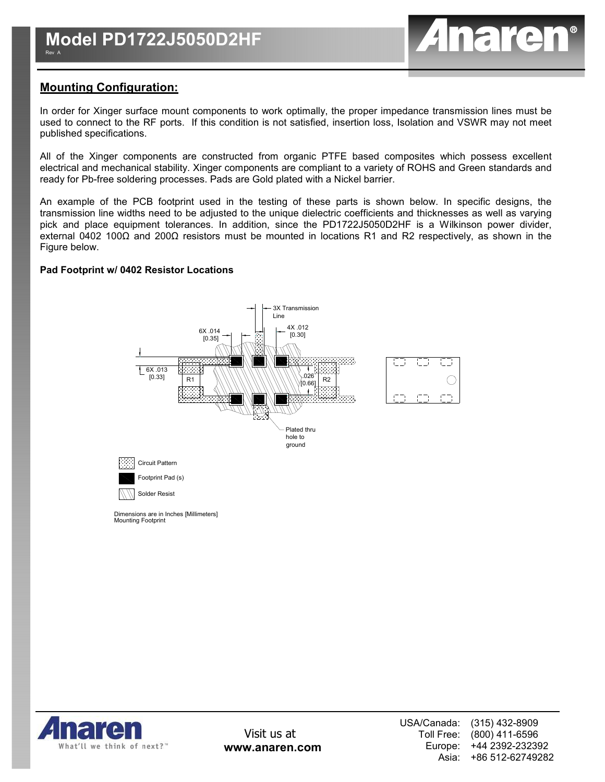

## **Mounting Configuration:**

In order for Xinger surface mount components to work optimally, the proper impedance transmission lines must be used to connect to the RF ports. If this condition is not satisfied, insertion loss, Isolation and VSWR may not meet published specifications.

All of the Xinger components are constructed from organic PTFE based composites which possess excellent electrical and mechanical stability. Xinger components are compliant to a variety of ROHS and Green standards and ready for Pb-free soldering processes. Pads are Gold plated with a Nickel barrier.

An example of the PCB footprint used in the testing of these parts is shown below. In specific designs, the transmission line widths need to be adjusted to the unique dielectric coefficients and thicknesses as well as varying pick and place equipment tolerances. In addition, since the PD1722J5050D2HF is a Wilkinson power divider, external 0402 100Ω and 200Ω resistors must be mounted in locations R1 and R2 respectively, as shown in the Figure below.

#### **Pad Footprint w/ 0402 Resistor Locations**



Mounting Footprint Dimensions are in Inches [Millimeters]

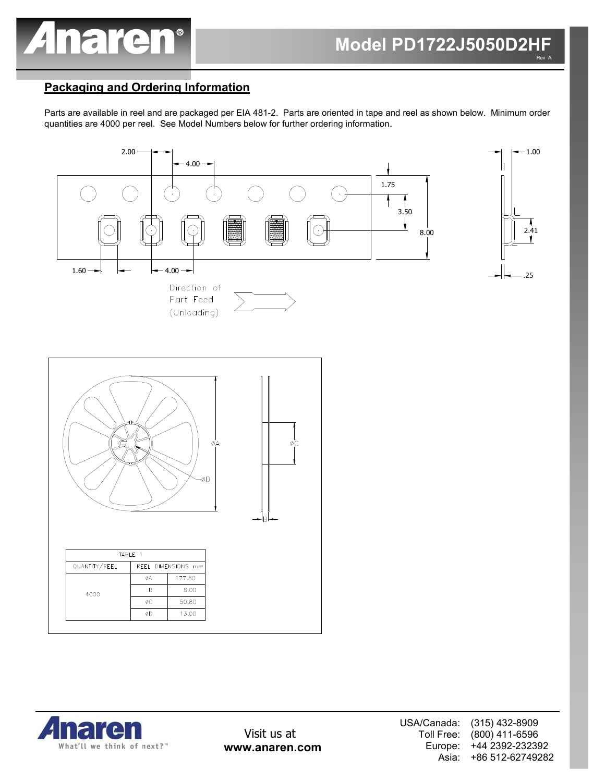

# **Packaging and Ordering Information**

Parts are available in reel and are packaged per EIA 481-2. Parts are oriented in tape and reel as shown below. Minimum order quantities are 4000 per reel. See Model Numbers below for further ordering information.